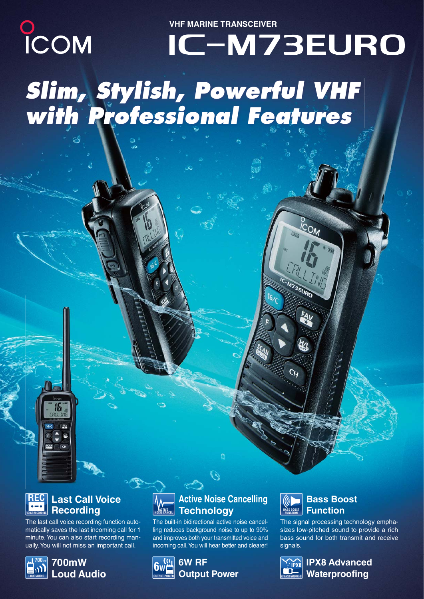**VHF MARINE TRANSCEIVER**

# COM IC-M73EURO *Slim, Stylish, Powerful VHF with Professional Features*



**HA**  $<sub>CH</sub>$ </sub>

The last call voice recording function automatically saves the last incoming call for 1 minute. You can also start recording manually. You will not miss an important call.



### **700mW Loud Audio**



The built-in bidirectional active noise cancelling reduces background noise to up to 90% and improves both your transmitted voice and incoming call. You will hear better and clearer!





 $c<sub>M</sub>$ 

## **Bass Boost Function**

The signal processing technology emphasizes low-pitched sound to provide a rich bass sound for both transmit and receive signals.



**IPX8 Advanced Waterproofing**